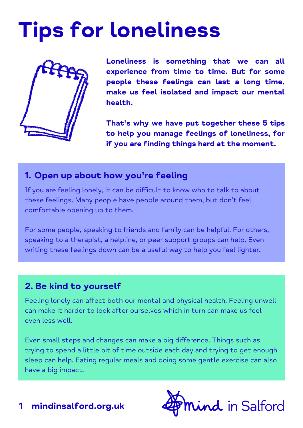# Tips for loneliness



**Loneliness is something that we can all experience from time to time. But for some people these feelings can last a long time, make us feel isolated and impact our mental health.**

**That's why we have put together these 5 tips to help you manage feelings of loneliness, for if you are finding things hard at the moment.**

### **1. Open up about how you're feeling**

If you are feeling lonely, it can be difficult to know who to talk to about these feelings. Many people have people around them, but don't feel comfortable opening up to them.

For some people, speaking to friends and family can be helpful. For others, speaking to a therapist, a helpline, or peer support groups can help. Even writing these feelings down can be a useful way to help you feel lighter.

# **2. Be kind to yourself**

Feeling lonely can affect both our mental and physical health. Feeling unwell can make it harder to look after ourselves which in turn can make us feel even less well.

Even small steps and changes can make a big difference. Things such as trying to spend a little bit of time outside each day and trying to get enough sleep can help. Eating regular meals and doing some gentle exercise can also have a big impact.



**1 mindinsalford.org.uk**